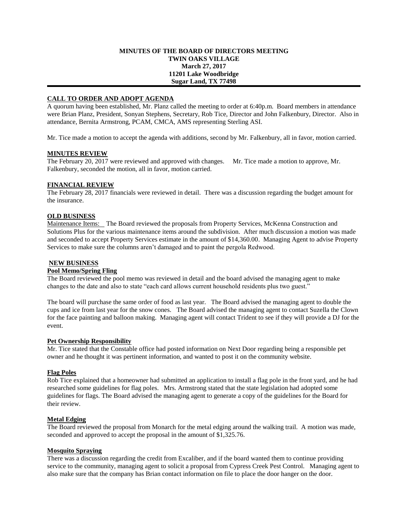### **MINUTES OF THE BOARD OF DIRECTORS MEETING TWIN OAKS VILLAGE March 27, 2017 11201 Lake Woodbridge Sugar Land, TX 77498**

# **CALL TO ORDER AND ADOPT AGENDA**

A quorum having been established, Mr. Planz called the meeting to order at 6:40p.m. Board members in attendance were Brian Planz, President, Sonyan Stephens, Secretary, Rob Tice, Director and John Falkenbury, Director. Also in attendance, Bernita Armstrong, PCAM, CMCA, AMS representing Sterling ASI.

Mr. Tice made a motion to accept the agenda with additions, second by Mr. Falkenbury, all in favor, motion carried.

#### **MINUTES REVIEW**

The February 20, 2017 were reviewed and approved with changes. Mr. Tice made a motion to approve, Mr. Falkenbury, seconded the motion, all in favor, motion carried.

### **FINANCIAL REVIEW**

The February 28, 2017 financials were reviewed in detail. There was a discussion regarding the budget amount for the insurance.

### **OLD BUSINESS**

Maintenance Items: The Board reviewed the proposals from Property Services, McKenna Construction and Solutions Plus for the various maintenance items around the subdivision. After much discussion a motion was made and seconded to accept Property Services estimate in the amount of \$14,360.00. Managing Agent to advise Property Services to make sure the columns aren't damaged and to paint the pergola Redwood.

#### **NEW BUSINESS**

## **Pool Memo/Spring Fling**

The Board reviewed the pool memo was reviewed in detail and the board advised the managing agent to make changes to the date and also to state "each card allows current household residents plus two guest."

The board will purchase the same order of food as last year. The Board advised the managing agent to double the cups and ice from last year for the snow cones. The Board advised the managing agent to contact Suzella the Clown for the face painting and balloon making. Managing agent will contact Trident to see if they will provide a DJ for the event.

#### **Pet Ownership Responsibility**

Mr. Tice stated that the Constable office had posted information on Next Door regarding being a responsible pet owner and he thought it was pertinent information, and wanted to post it on the community website.

#### **Flag Poles**

Rob Tice explained that a homeowner had submitted an application to install a flag pole in the front yard, and he had researched some guidelines for flag poles. Mrs. Armstrong stated that the state legislation had adopted some guidelines for flags. The Board advised the managing agent to generate a copy of the guidelines for the Board for their review.

#### **Metal Edging**

The Board reviewed the proposal from Monarch for the metal edging around the walking trail. A motion was made, seconded and approved to accept the proposal in the amount of \$1,325.76.

### **Mosquito Spraying**

There was a discussion regarding the credit from Excaliber, and if the board wanted them to continue providing service to the community, managing agent to solicit a proposal from Cypress Creek Pest Control. Managing agent to also make sure that the company has Brian contact information on file to place the door hanger on the door.